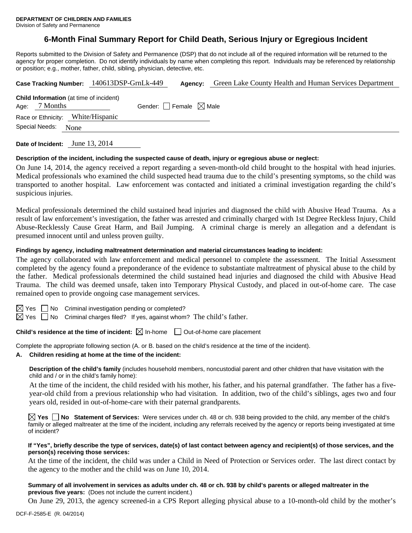# **6-Month Final Summary Report for Child Death, Serious Injury or Egregious Incident**

Reports submitted to the Division of Safety and Permanence (DSP) that do not include all of the required information will be returned to the agency for proper completion. Do not identify individuals by name when completing this report. Individuals may be referenced by relationship or position; e.g., mother, father, child, sibling, physician, detective, etc.

| Case Tracking Number: 140613DSP-GrnLk-449                         |  | Agency:                         | Green Lake County Health and Human Services Department |
|-------------------------------------------------------------------|--|---------------------------------|--------------------------------------------------------|
| <b>Child Information</b> (at time of incident)<br>Age: $7$ Months |  | Gender: Female $\boxtimes$ Male |                                                        |
| Race or Ethnicity: White/Hispanic                                 |  |                                 |                                                        |
| Special Needs: None                                               |  |                                 |                                                        |
|                                                                   |  |                                 |                                                        |

**Date of Incident:** June 13, 2014

### **Description of the incident, including the suspected cause of death, injury or egregious abuse or neglect:**

On June 14, 2014, the agency received a report regarding a seven-month-old child brought to the hospital with head injuries. Medical professionals who examined the child suspected head trauma due to the child's presenting symptoms, so the child was transported to another hospital. Law enforcement was contacted and initiated a criminal investigation regarding the child's suspicious injuries.

Medical professionals determined the child sustained head injuries and diagnosed the child with Abusive Head Trauma. As a result of law enforcement's investigation, the father was arrested and criminally charged with 1st Degree Reckless Injury, Child Abuse-Recklessly Cause Great Harm, and Bail Jumping. A criminal charge is merely an allegation and a defendant is presumed innocent until and unless proven guilty.

### **Findings by agency, including maltreatment determination and material circumstances leading to incident:**

The agency collaborated with law enforcement and medical personnel to complete the assessment. The Initial Assessment completed by the agency found a preponderance of the evidence to substantiate maltreatment of physical abuse to the child by the father. Medical professionals determined the child sustained head injuries and diagnosed the child with Abusive Head Trauma. The child was deemed unsafe, taken into Temporary Physical Custody, and placed in out-of-home care. The case remained open to provide ongoing case management services.

 $\boxtimes$  Yes  $\Box$  No Criminal investigation pending or completed?

 $\boxtimes$  Yes  $\Box$  No Criminal charges filed? If yes, against whom? The child's father.

**Child's residence at the time of incident:**  $\boxtimes$  In-home  $\Box$  Out-of-home care placement

Complete the appropriate following section (A. or B. based on the child's residence at the time of the incident).

**A. Children residing at home at the time of the incident:**

**Description of the child's family** (includes household members, noncustodial parent and other children that have visitation with the child and / or in the child's family home):

 At the time of the incident, the child resided with his mother, his father, and his paternal grandfather. The father has a fiveyear-old child from a previous relationship who had visitation. In addition, two of the child's siblings, ages two and four years old, resided in out-of-home-care with their paternal grandparents.

**Yes No Statement of Services:** Were services under ch. 48 or ch. 938 being provided to the child, any member of the child's family or alleged maltreater at the time of the incident, including any referrals received by the agency or reports being investigated at time of incident?

## **If "Yes", briefly describe the type of services, date(s) of last contact between agency and recipient(s) of those services, and the person(s) receiving those services:**

At the time of the incident, the child was under a Child in Need of Protection or Services order. The last direct contact by the agency to the mother and the child was on June 10, 2014.

### **Summary of all involvement in services as adults under ch. 48 or ch. 938 by child's parents or alleged maltreater in the previous five years:** (Does not include the current incident.)

On June 29, 2013, the agency screened-in a CPS Report alleging physical abuse to a 10-month-old child by the mother's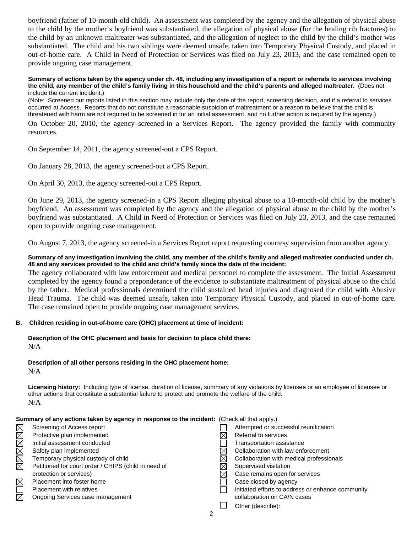boyfriend (father of 10-month-old child). An assessment was completed by the agency and the allegation of physical abuse to the child by the mother's boyfriend was substantiated, the allegation of physical abuse (for the healing rib fractures) to the child by an unknown maltreater was substantiated, and the allegation of neglect to the child by the child's mother was substantiated. The child and his two siblings were deemed unsafe, taken into Temporary Physical Custody, and placed in out-of-home care. A Child in Need of Protection or Services was filed on July 23, 2013, and the case remained open to provide ongoing case management.

### **Summary of actions taken by the agency under ch. 48, including any investigation of a report or referrals to services involving the child, any member of the child's family living in this household and the child's parents and alleged maltreater.** (Does not include the current incident.)

(Note: Screened out reports listed in this section may include only the date of the report, screening decision, and if a referral to services occurred at Access. Reports that do not constitute a reasonable suspicion of maltreatment or a reason to believe that the child is threatened with harm are not required to be screened in for an initial assessment, and no further action is required by the agency.)

On October 20, 2010, the agency screened-in a Services Report. The agency provided the family with community resources.

On September 14, 2011, the agency screened-out a CPS Report.

On January 28, 2013, the agency screened-out a CPS Report.

On April 30, 2013, the agency screened-out a CPS Report.

On June 29, 2013, the agency screened-in a CPS Report alleging physical abuse to a 10-month-old child by the mother's boyfriend. An assessment was completed by the agency and the allegation of physical abuse to the child by the mother's boyfriend was substantiated. A Child in Need of Protection or Services was filed on July 23, 2013, and the case remained open to provide ongoing case management.

On August 7, 2013, the agency screened-in a Services Report report requesting courtesy supervision from another agency.

# **Summary of any investigation involving the child, any member of the child's family and alleged maltreater conducted under ch. 48 and any services provided to the child and child's family since the date of the incident:**

The agency collaborated with law enforcement and medical personnel to complete the assessment. The Initial Assessment completed by the agency found a preponderance of the evidence to substantiate maltreatment of physical abuse to the child by the father. Medical professionals determined the child sustained head injuries and diagnosed the child with Abusive Head Trauma. The child was deemed unsafe, taken into Temporary Physical Custody, and placed in out-of-home care. The case remained open to provide ongoing case management services.

## **B. Children residing in out-of-home care (OHC) placement at time of incident:**

# **Description of the OHC placement and basis for decision to place child there:**  N/A

# **Description of all other persons residing in the OHC placement home:**

 $N/A$ 

**Licensing history:** Including type of license, duration of license, summary of any violations by licensee or an employee of licensee or other actions that constitute a substantial failure to protect and promote the welfare of the child. N/A

| Summary of any actions taken by agency in response to the incident: (Check all that apply.) |                                                      |   |                                                   |  |  |
|---------------------------------------------------------------------------------------------|------------------------------------------------------|---|---------------------------------------------------|--|--|
|                                                                                             | Screening of Access report                           |   | Attempted or successful reunification             |  |  |
| XXXXXX                                                                                      | Protective plan implemented                          |   | Referral to services                              |  |  |
|                                                                                             | Initial assessment conducted                         |   | Transportation assistance                         |  |  |
|                                                                                             | Safety plan implemented                              |   | Collaboration with law enforcement                |  |  |
|                                                                                             | Temporary physical custody of child                  |   | Collaboration with medical professionals          |  |  |
|                                                                                             | Petitioned for court order / CHIPS (child in need of |   | Supervised visitation                             |  |  |
|                                                                                             | protection or services)                              | ⋉ | Case remains open for services                    |  |  |
| $\boxtimes$                                                                                 | Placement into foster home                           |   | Case closed by agency                             |  |  |
| $\Box$                                                                                      | <b>Placement with relatives</b>                      |   | Initiated efforts to address or enhance community |  |  |
| $\boxtimes$                                                                                 | Ongoing Services case management                     |   | collaboration on CA/N cases                       |  |  |
|                                                                                             |                                                      |   | Other (describe):                                 |  |  |
|                                                                                             | າ                                                    |   |                                                   |  |  |